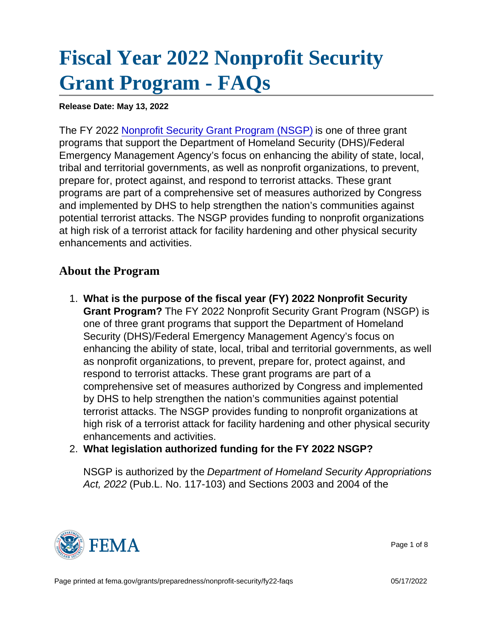## [Fiscal Year 2022 Nonprofit Security](https://edit.fema.gov/grants/preparedness/nonprofit-security/fy22-faqs) [Grant Program - FAQs](https://edit.fema.gov/grants/preparedness/nonprofit-security/fy22-faqs)

Release Date: May 13, 2022

The FY 2022 [Nonprofit Security Grant Program \(NSGP\)](https://edit.fema.gov/grants/preparedness/nonprofit-security) is one of three grant programs that support the Department of Homeland Security (DHS)/Federal Emergency Management Agency's focus on enhancing the ability of state, local, tribal and territorial governments, as well as nonprofit organizations, to prevent, prepare for, protect against, and respond to terrorist attacks. These grant programs are part of a comprehensive set of measures authorized by Congress and implemented by DHS to help strengthen the nation's communities against potential terrorist attacks. The NSGP provides funding to nonprofit organizations at high risk of a terrorist attack for facility hardening and other physical security enhancements and activities.

## About the Program

- 1. What is the purpose of the fiscal year (FY) 2022 Nonprofit Security Grant Program? The FY 2022 Nonprofit Security Grant Program (NSGP) is one of three grant programs that support the Department of Homeland Security (DHS)/Federal Emergency Management Agency's focus on enhancing the ability of state, local, tribal and territorial governments, as well as nonprofit organizations, to prevent, prepare for, protect against, and respond to terrorist attacks. These grant programs are part of a comprehensive set of measures authorized by Congress and implemented by DHS to help strengthen the nation's communities against potential terrorist attacks. The NSGP provides funding to nonprofit organizations at high risk of a terrorist attack for facility hardening and other physical security enhancements and activities.
- 2. What legislation authorized funding for the FY 2022 NSGP?

NSGP is authorized by the Department of Homeland Security Appropriations Act, 2022 (Pub.L. No. 117-103) and Sections 2003 and 2004 of the



Page 1 of 8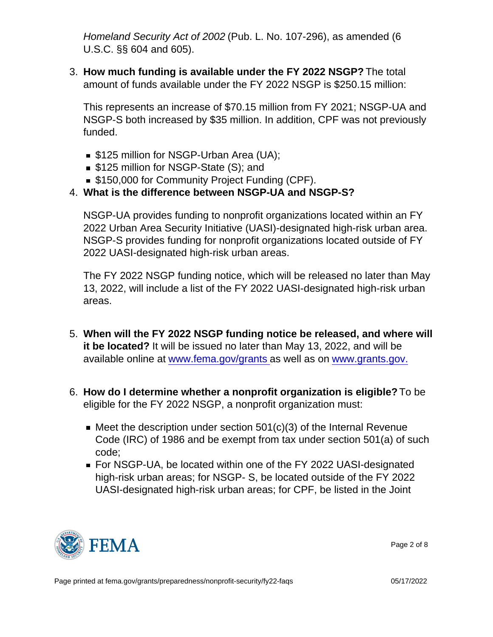Homeland Security Act of 2002 (Pub. L. No. 107-296), as amended (6 U.S.C. §§ 604 and 605).

3. How much funding is available under the FY 2022 NSGP? The total amount of funds available under the FY 2022 NSGP is \$250.15 million:

This represents an increase of \$70.15 million from FY 2021; NSGP-UA and NSGP-S both increased by \$35 million. In addition, CPF was not previously funded.

- **S125 million for NSGP-Urban Area (UA);**
- \$125 million for NSGP-State (S); and
- **S150,000 for Community Project Funding (CPF).**
- 4. What is the difference between NSGP-UA and NSGP-S?

NSGP-UA provides funding to nonprofit organizations located within an FY 2022 Urban Area Security Initiative (UASI)-designated high-risk urban area. NSGP-S provides funding for nonprofit organizations located outside of FY 2022 UASI-designated high-risk urban areas.

The FY 2022 NSGP funding notice, which will be released no later than May 13, 2022, will include a list of the FY 2022 UASI-designated high-risk urban areas.

- 5. When will the FY 2022 NSGP funding notice be released, and where will it be located? It will be issued no later than May 13, 2022, and will be available online at [www.fema.gov/grants](http://www.fema.gov/grants) as well as on [www.grants.gov.](http://www.grants.gov/)
- 6. How do I determine whether a nonprofit organization is eligible? To be eligible for the FY 2022 NSGP, a nonprofit organization must:
	- $\blacksquare$  Meet the description under section 501(c)(3) of the Internal Revenue Code (IRC) of 1986 and be exempt from tax under section 501(a) of such code;
	- For NSGP-UA, be located within one of the FY 2022 UASI-designated high-risk urban areas; for NSGP- S, be located outside of the FY 2022 UASI-designated high-risk urban areas; for CPF, be listed in the Joint



Page 2 of 8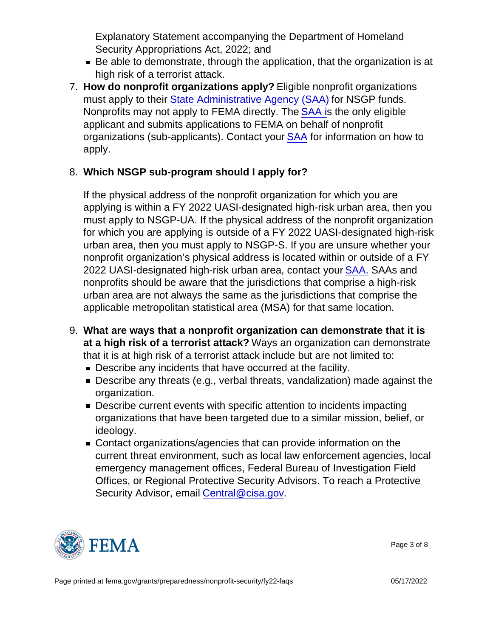Explanatory Statement accompanying the Department of Homeland Security Appropriations Act, 2022; and

- Be able to demonstrate, through the application, that the organization is at high risk of a terrorist attack.
- 7. How do nonprofit organizations apply? Eligible nonprofit organizations must apply to their [State Administrative Agency \(SAA\)](http://www.fema.gov/media-library/assets/documents/28689?id=6363) for NSGP funds. Nonprofits may not apply to FEMA directly. The [SAA i](http://www.fema.gov/media-library/assets/documents/28689?id=6363)s the only eligible applicant and submits applications to FEMA on behalf of nonprofit organizations (sub-applicants). Contact your [SAA](http://www.fema.gov/media-library/assets/documents/28689?id=6363) for information on how to apply.
- 8. Which NSGP sub-program should I apply for?

If the physical address of the nonprofit organization for which you are applying is within a FY 2022 UASI-designated high-risk urban area, then you must apply to NSGP-UA. If the physical address of the nonprofit organization for which you are applying is outside of a FY 2022 UASI-designated high-risk urban area, then you must apply to NSGP-S. If you are unsure whether your nonprofit organization's physical address is located within or outside of a FY 2022 UASI-designated high-risk urban area, contact your **SAA.** SAAs and nonprofits should be aware that the jurisdictions that comprise a high-risk urban area are not always the same as the jurisdictions that comprise the applicable metropolitan statistical area (MSA) for that same location.

- 9. What are ways that a nonprofit organization can demonstrate that it is at a high risk of a terrorist attack? Ways an organization can demonstrate that it is at high risk of a terrorist attack include but are not limited to:
	- **Describe any incidents that have occurred at the facility.**
	- Describe any threats (e.g., verbal threats, vandalization) made against the organization.
	- **Describe current events with specific attention to incidents impacting** organizations that have been targeted due to a similar mission, belief, or ideology.
	- Contact organizations/agencies that can provide information on the current threat environment, such as local law enforcement agencies, local emergency management offices, Federal Bureau of Investigation Field Offices, or Regional Protective Security Advisors. To reach a Protective Security Advisor, email [Central@cisa.gov.](mailto:Central@cisa.gov)



Page 3 of 8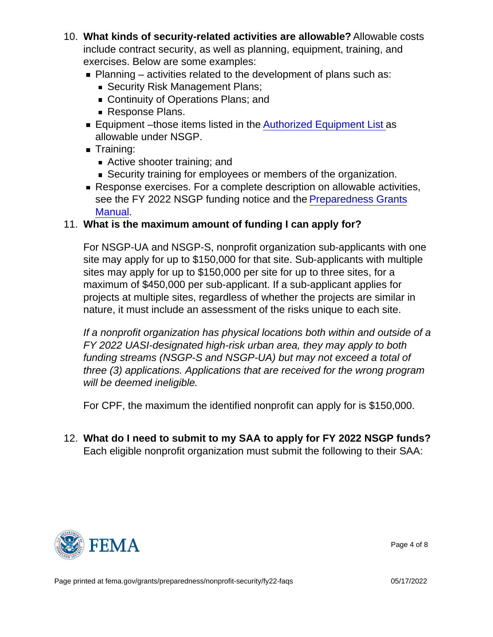- 10. What kinds of security-related activities are allowable? Allowable costs include contract security, as well as planning, equipment, training, and exercises. Below are some examples:
	- $\blacksquare$  Planning activities related to the development of plans such as:
		- Security Risk Management Plans;
		- Continuity of Operations Plans; and
		- Response Plans.
	- Equipment –those items listed in the [Authorized Equipment List](https://www.fema.gov/authorized-equipment-list) as allowable under NSGP.
	- **Training:** 
		- Active shooter training; and
		- Security training for employees or members of the organization.
	- Response exercises. For a complete description on allowable activities, see the FY 2022 NSGP funding notice and the [Preparedness Grants](https://www.fema.gov/grants/preparedness/manual) [Manual](https://www.fema.gov/grants/preparedness/manual).
- 11. What is the maximum amount of funding I can apply for?

For NSGP-UA and NSGP-S, nonprofit organization sub-applicants with one site may apply for up to \$150,000 for that site. Sub-applicants with multiple sites may apply for up to \$150,000 per site for up to three sites, for a maximum of \$450,000 per sub-applicant. If a sub-applicant applies for projects at multiple sites, regardless of whether the projects are similar in nature, it must include an assessment of the risks unique to each site.

If a nonprofit organization has physical locations both within and outside of a FY 2022 UASI-designated high-risk urban area, they may apply to both funding streams (NSGP-S and NSGP-UA) but may not exceed a total of three (3) applications. Applications that are received for the wrong program will be deemed ineligible.

For CPF, the maximum the identified nonprofit can apply for is \$150,000.

12. What do I need to submit to my SAA to apply for FY 2022 NSGP funds? Each eligible nonprofit organization must submit the following to their SAA:



Page 4 of 8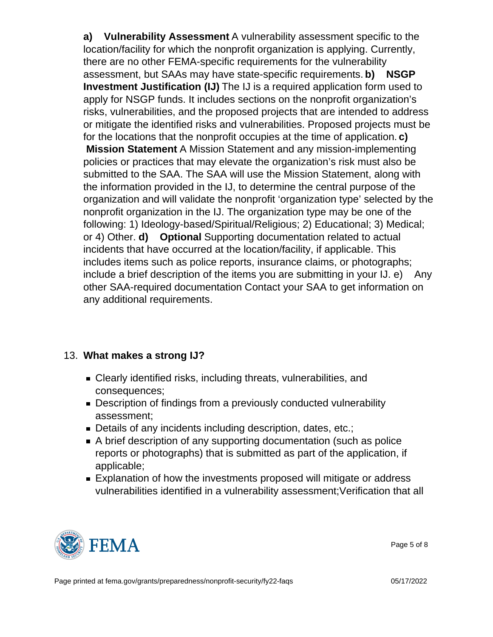a) Vulnerability Assessment A vulnerability assessment specific to the location/facility for which the nonprofit organization is applying. Currently, there are no other FEMA-specific requirements for the vulnerability assessment, but SAAs may have state-specific requirements. b) NSGP Investment Justification (IJ) The IJ is a required application form used to apply for NSGP funds. It includes sections on the nonprofit organization's risks, vulnerabilities, and the proposed projects that are intended to address or mitigate the identified risks and vulnerabilities. Proposed projects must be for the locations that the nonprofit occupies at the time of application. c) Mission Statement A Mission Statement and any mission-implementing policies or practices that may elevate the organization's risk must also be submitted to the SAA. The SAA will use the Mission Statement, along with the information provided in the IJ, to determine the central purpose of the organization and will validate the nonprofit 'organization type' selected by the nonprofit organization in the IJ. The organization type may be one of the following: 1) Ideology-based/Spiritual/Religious; 2) Educational; 3) Medical; or 4) Other. d) Optional Supporting documentation related to actual incidents that have occurred at the location/facility, if applicable. This includes items such as police reports, insurance claims, or photographs; include a brief description of the items you are submitting in your IJ. e) Any other SAA-required documentation Contact your SAA to get information on any additional requirements.

- 13. What makes a strong IJ?
	- Clearly identified risks, including threats, vulnerabilities, and consequences;
	- Description of findings from a previously conducted vulnerability assessment;
	- Details of any incidents including description, dates, etc.;
	- A brief description of any supporting documentation (such as police reports or photographs) that is submitted as part of the application, if applicable;
	- **Explanation of how the investments proposed will mitigate or address** vulnerabilities identified in a vulnerability assessment;Verification that all



Page 5 of 8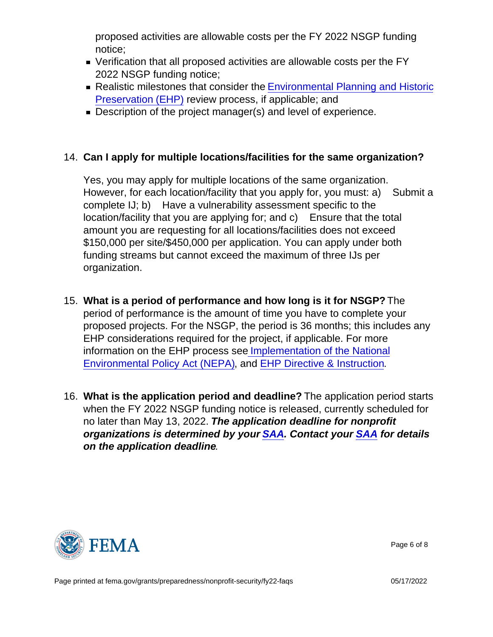proposed activities are allowable costs per the FY 2022 NSGP funding notice;

- Verification that all proposed activities are allowable costs per the FY 2022 NSGP funding notice;
- Realistic milestones that consider the [Environmental Planning and Historic](https://www.fema.gov/media-library/assets/documents/90195) [Preservation \(EHP\)](https://www.fema.gov/media-library/assets/documents/90195) review process, if applicable; and
- Description of the project manager(s) and level of experience.
- 14. Can I apply for multiple locations/facilities for the same organization?

Yes, you may apply for multiple locations of the same organization. However, for each location/facility that you apply for, you must: a) Submit a complete IJ; b) Have a vulnerability assessment specific to the location/facility that you are applying for; and c) Ensure that the total amount you are requesting for all locations/facilities does not exceed \$150,000 per site/\$450,000 per application. You can apply under both funding streams but cannot exceed the maximum of three IJs per organization.

- 15. What is a period of performance and how long is it for NSGP? The period of performance is the amount of time you have to complete your proposed projects. For the NSGP, the period is 36 months; this includes any EHP considerations required for the project, if applicable. For more information on the EHP process se[e Implementation of the National](https://www.dhs.gov/sites/default/files/publications/DHS_Instruction Manual 023-01-001-01 Rev 01_508compliantversion.pdf) [Environmental Policy Act \(NEPA\)](https://www.dhs.gov/sites/default/files/publications/DHS_Instruction Manual 023-01-001-01 Rev 01_508compliantversion.pdf), and [EHP Directive & Instruction.](https://www.fema.gov/media-collection/ehp-directive-instruction-fema-directive-108-1-instruction-108-1-1)
- 16. What is the application period and deadline? The application period starts when the FY 2022 NSGP funding notice is released, currently scheduled for no later than May 13, 2022. The application deadline for nonprofit organizations is determined by your [SAA.](http://www.fema.gov/media-library/assets/documents/28689?id=6363) Contact your [SAA](http://www.fema.gov/media-library/assets/documents/28689?id=6363) for details on the application deadline .



Page 6 of 8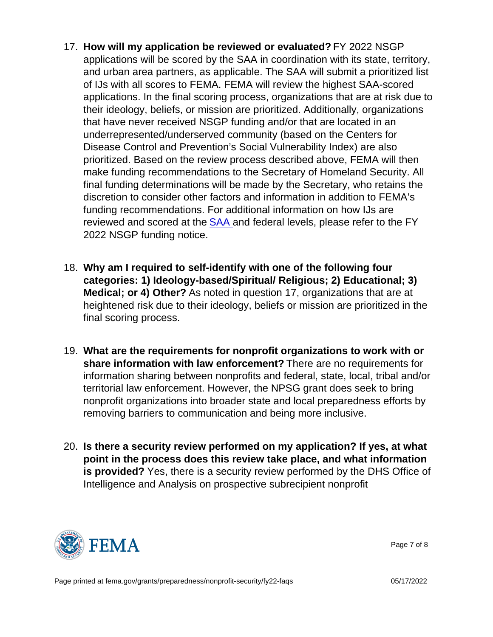- 17. How will my application be reviewed or evaluated? FY 2022 NSGP applications will be scored by the SAA in coordination with its state, territory, and urban area partners, as applicable. The SAA will submit a prioritized list of IJs with all scores to FEMA. FEMA will review the highest SAA-scored applications. In the final scoring process, organizations that are at risk due to their ideology, beliefs, or mission are prioritized. Additionally, organizations that have never received NSGP funding and/or that are located in an underrepresented/underserved community (based on the Centers for Disease Control and Prevention's Social Vulnerability Index) are also prioritized. Based on the review process described above, FEMA will then make funding recommendations to the Secretary of Homeland Security. All final funding determinations will be made by the Secretary, who retains the discretion to consider other factors and information in addition to FEMA's funding recommendations. For additional information on how IJs are reviewed and scored at the [SAA](https://edit.fema.gov/media-library/assets/documents/28689?id=6363) and federal levels, please refer to the FY 2022 NSGP funding notice.
- 18. Why am I required to self-identify with one of the following four categories: 1) Ideology-based/Spiritual/ Religious; 2) Educational; 3) Medical; or 4) Other? As noted in question 17, organizations that are at heightened risk due to their ideology, beliefs or mission are prioritized in the final scoring process.
- 19. What are the requirements for nonprofit organizations to work with or share information with law enforcement? There are no requirements for information sharing between nonprofits and federal, state, local, tribal and/or territorial law enforcement. However, the NPSG grant does seek to bring nonprofit organizations into broader state and local preparedness efforts by removing barriers to communication and being more inclusive.
- 20. Is there a security review performed on my application? If yes, at what point in the process does this review take place, and what information is provided? Yes, there is a security review performed by the DHS Office of Intelligence and Analysis on prospective subrecipient nonprofit



Page 7 of 8